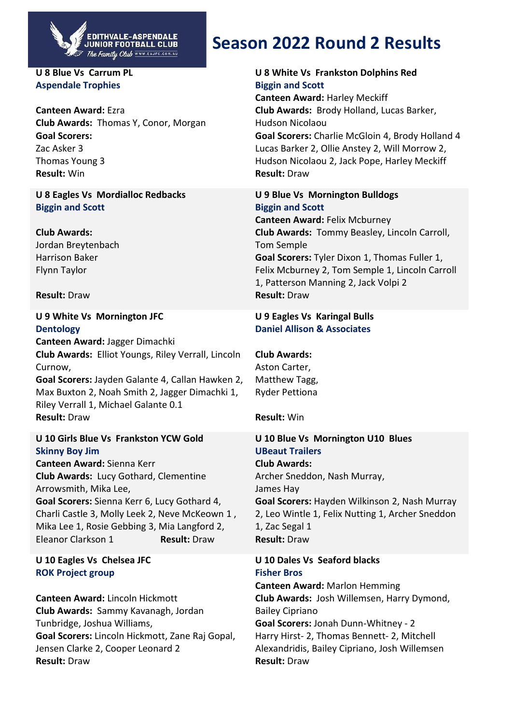

#### **U 8 Blue Vs Carrum PL Aspendale Trophies**

**Canteen Award:** Ezra **Club Awards:** Thomas Y, Conor, Morgan **Goal Scorers:** Zac Asker 3 Thomas Young 3 **Result:** Win

**U 8 Eagles Vs Mordialloc Redbacks Biggin and Scott**

**Club Awards:** Jordan Breytenbach Harrison Baker Flynn Taylor

**Result:** Draw

## **U 9 White Vs Mornington JFC Dentology**

**Canteen Award:** Jagger Dimachki **Club Awards:** Elliot Youngs, Riley Verrall, Lincoln Curnow, **Goal Scorers:** Jayden Galante 4, Callan Hawken 2, Max Buxton 2, Noah Smith 2, Jagger Dimachki 1, Riley Verrall 1, Michael Galante 0.1 **Result:** Draw

## **U 10 Girls Blue Vs Frankston YCW Gold Skinny Boy Jim**

**Canteen Award:** Sienna Kerr **Club Awards:** Lucy Gothard, Clementine Arrowsmith, Mika Lee, **Goal Scorers:** Sienna Kerr 6, Lucy Gothard 4, Charli Castle 3, Molly Leek 2, Neve McKeown 1 , Mika Lee 1, Rosie Gebbing 3, Mia Langford 2, Eleanor Clarkson 1 **Result:** Draw

## **U 10 Eagles Vs Chelsea JFC ROK Project group**

**Canteen Award:** Lincoln Hickmott **Club Awards:** Sammy Kavanagh, Jordan Tunbridge, Joshua Williams, **Goal Scorers:** Lincoln Hickmott, Zane Raj Gopal, Jensen Clarke 2, Cooper Leonard 2 **Result:** Draw

# **Season 2022 Round 2 Results**

## **U 8 White Vs Frankston Dolphins Red Biggin and Scott**

**Canteen Award:** Harley Meckiff **Club Awards:** Brody Holland, Lucas Barker, Hudson Nicolaou **Goal Scorers:** Charlie McGloin 4, Brody Holland 4 Lucas Barker 2, Ollie Anstey 2, Will Morrow 2, Hudson Nicolaou 2, Jack Pope, Harley Meckiff **Result:** Draw

**U 9 Blue Vs Mornington Bulldogs Biggin and Scott Canteen Award:** Felix Mcburney **Club Awards:** Tommy Beasley, Lincoln Carroll, Tom Semple **Goal Scorers:** Tyler Dixon 1, Thomas Fuller 1, Felix Mcburney 2, Tom Semple 1, Lincoln Carroll 1, Patterson Manning 2, Jack Volpi 2 **Result:** Draw

## **U 9 Eagles Vs Karingal Bulls Daniel Allison & Associates**

**Club Awards:** Aston Carter, Matthew Tagg, Ryder Pettiona

**Result:** Win

## **U 10 Blue Vs Mornington U10 Blues UBeaut Trailers Club Awards:** Archer Sneddon, Nash Murray, James Hay **Goal Scorers:** Hayden Wilkinson 2, Nash Murray 2, Leo Wintle 1, Felix Nutting 1, Archer Sneddon 1, Zac Segal 1 **Result:** Draw

## **U 10 Dales Vs Seaford blacks Fisher Bros**

**Canteen Award:** Marlon Hemming **Club Awards:** Josh Willemsen, Harry Dymond, Bailey Cipriano **Goal Scorers:** Jonah Dunn-Whitney - 2 Harry Hirst- 2, Thomas Bennett- 2, Mitchell Alexandridis, Bailey Cipriano, Josh Willemsen **Result:** Draw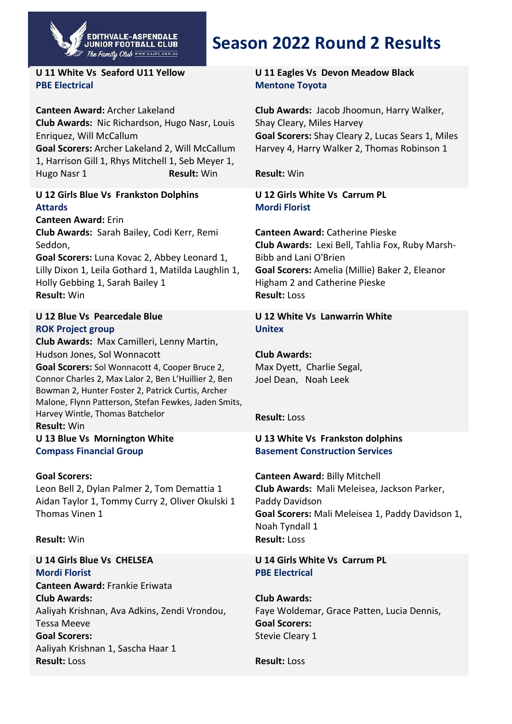

#### **U 11 White Vs Seaford U11 Yellow PBE Electrical**

**Canteen Award:** Archer Lakeland **Club Awards:** Nic Richardson, Hugo Nasr, Louis Enriquez, Will McCallum **Goal Scorers:** Archer Lakeland 2, Will McCallum 1, Harrison Gill 1, Rhys Mitchell 1, Seb Meyer 1, Hugo Nasr 1 **Result:** Win

### **U 12 Girls Blue Vs Frankston Dolphins Attards**

**Canteen Award:** Erin **Club Awards:** Sarah Bailey, Codi Kerr, Remi Seddon,

**Goal Scorers:** Luna Kovac 2, Abbey Leonard 1, Lilly Dixon 1, Leila Gothard 1, Matilda Laughlin 1, Holly Gebbing 1, Sarah Bailey 1 **Result:** Win

### **U 12 Blue Vs Pearcedale Blue ROK Project group**

**Club Awards:** Max Camilleri, Lenny Martin, Hudson Jones, Sol Wonnacott **Goal Scorers:** Sol Wonnacott 4, Cooper Bruce 2, Connor Charles 2, Max Lalor 2, Ben L'Huillier 2, Ben Bowman 2, Hunter Foster 2, Patrick Curtis, Archer Malone, Flynn Patterson, Stefan Fewkes, Jaden Smits, Harvey Wintle, Thomas Batchelor

**Result:** Win **U 13 Blue Vs Mornington White Compass Financial Group**

#### **Goal Scorers:**

Leon Bell 2, Dylan Palmer 2, Tom Demattia 1 Aidan Taylor 1, Tommy Curry 2, Oliver Okulski 1 Thomas Vinen 1

#### **Result:** Win

**U 14 Girls Blue Vs CHELSEA Mordi Florist Canteen Award:** Frankie Eriwata **Club Awards:** Aaliyah Krishnan, Ava Adkins, Zendi Vrondou, Tessa Meeve **Goal Scorers:** Aaliyah Krishnan 1, Sascha Haar 1 **Result:** Loss

# **Season 2022 Round 2 Results**

#### **U 11 Eagles Vs Devon Meadow Black Mentone Toyota**

**Club Awards:** Jacob Jhoomun, Harry Walker, Shay Cleary, Miles Harvey **Goal Scorers:** Shay Cleary 2, Lucas Sears 1, Miles Harvey 4, Harry Walker 2, Thomas Robinson 1

**Result:** Win

**U 12 Girls White Vs Carrum PL Mordi Florist**

**Canteen Award:** Catherine Pieske **Club Awards:** Lexi Bell, Tahlia Fox, Ruby Marsh-Bibb and Lani O'Brien **Goal Scorers:** Amelia (Millie) Baker 2, Eleanor Higham 2 and Catherine Pieske **Result:** Loss

#### **U 12 White Vs Lanwarrin White Unitex**

**Club Awards:** Max Dyett, Charlie Segal, Joel Dean, Noah Leek

#### **Result:** Loss

### **U 13 White Vs Frankston dolphins Basement Construction Services**

**Canteen Award:** Billy Mitchell **Club Awards:** Mali Meleisea, Jackson Parker, Paddy Davidson **Goal Scorers:** Mali Meleisea 1, Paddy Davidson 1, Noah Tyndall 1 **Result:** Loss

### **U 14 Girls White Vs Carrum PL PBE Electrical**

**Club Awards:** Faye Woldemar, Grace Patten, Lucia Dennis, **Goal Scorers:** Stevie Cleary 1

**Result:** Loss